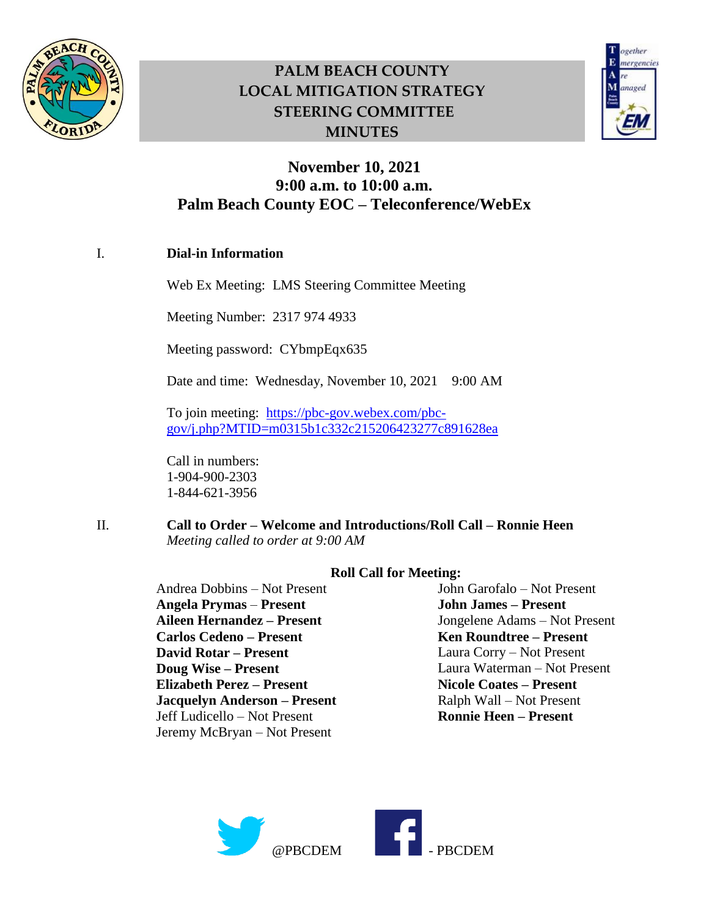



### **November 10, 2021 9:00 a.m. to 10:00 a.m. Palm Beach County EOC – Teleconference/WebEx**

#### I. **Dial-in Information**

Web Ex Meeting: LMS Steering Committee Meeting

Meeting Number: 2317 974 4933

Meeting password: CYbmpEqx635

Date and time: Wednesday, November 10, 2021 9:00 AM

To join meeting: [https://pbc-gov.webex.com/pbc](https://pbc-gov.webex.com/pbc-gov/j.php?MTID=m0315b1c332c215206423277c891628ea)[gov/j.php?MTID=m0315b1c332c215206423277c891628ea](https://pbc-gov.webex.com/pbc-gov/j.php?MTID=m0315b1c332c215206423277c891628ea)

Call in numbers: 1-904-900-2303 1-844-621-3956

II. **Call to Order – Welcome and Introductions/Roll Call – Ronnie Heen** *Meeting called to order at 9:00 AM*

> Andrea Dobbins – Not Present **Angela Prymas** – **Present Aileen Hernandez – Present Carlos Cedeno – Present David Rotar – Present Doug Wise – Present Elizabeth Perez – Present Jacquelyn Anderson – Present** Jeff Ludicello – Not Present Jeremy McBryan – Not Present

#### **Roll Call for Meeting:**

John Garofalo – Not Present **John James – Present** Jongelene Adams – Not Present **Ken Roundtree – Present** Laura Corry – Not Present Laura Waterman – Not Present **Nicole Coates – Present** Ralph Wall – Not Present **Ronnie Heen – Present** 

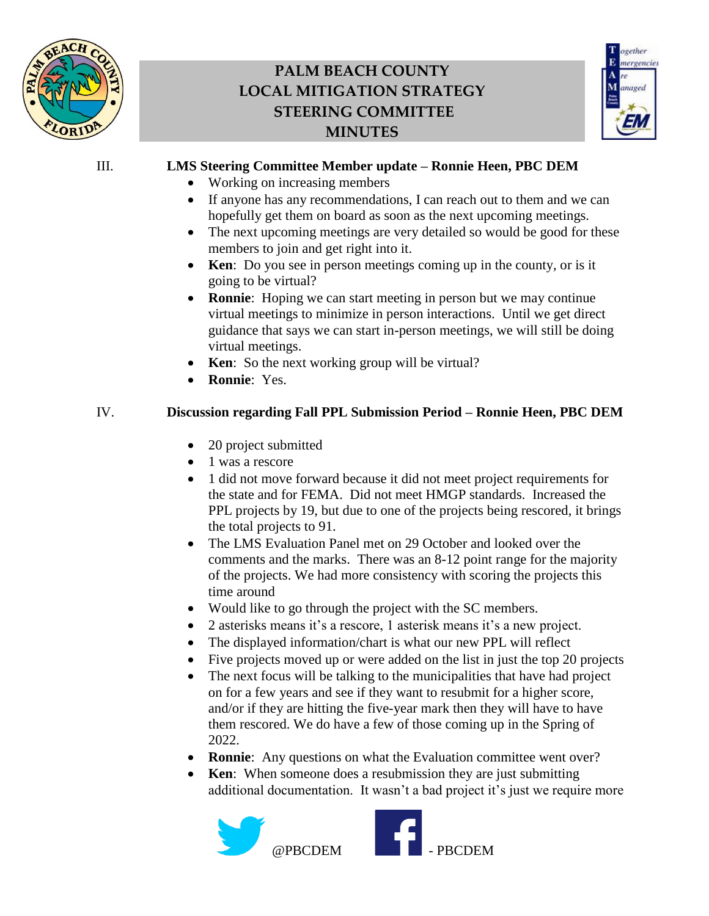



#### III. **LMS Steering Committee Member update – Ronnie Heen, PBC DEM**

- Working on increasing members
- If anyone has any recommendations, I can reach out to them and we can hopefully get them on board as soon as the next upcoming meetings.
- The next upcoming meetings are very detailed so would be good for these members to join and get right into it.
- **Ken**: Do you see in person meetings coming up in the county, or is it going to be virtual?
- **Ronnie**: Hoping we can start meeting in person but we may continue virtual meetings to minimize in person interactions. Until we get direct guidance that says we can start in-person meetings, we will still be doing virtual meetings.
- **Ken**: So the next working group will be virtual?
- **Ronnie**: Yes.

#### IV. **Discussion regarding Fall PPL Submission Period – Ronnie Heen, PBC DEM**

- 20 project submitted
- 1 was a rescore
- 1 did not move forward because it did not meet project requirements for the state and for FEMA. Did not meet HMGP standards. Increased the PPL projects by 19, but due to one of the projects being rescored, it brings the total projects to 91.
- The LMS Evaluation Panel met on 29 October and looked over the comments and the marks. There was an 8-12 point range for the majority of the projects. We had more consistency with scoring the projects this time around
- Would like to go through the project with the SC members.
- 2 asterisks means it's a rescore, 1 asterisk means it's a new project.
- The displayed information/chart is what our new PPL will reflect
- Five projects moved up or were added on the list in just the top 20 projects
- The next focus will be talking to the municipalities that have had project on for a few years and see if they want to resubmit for a higher score, and/or if they are hitting the five-year mark then they will have to have them rescored. We do have a few of those coming up in the Spring of 2022.
- **Ronnie**: Any questions on what the Evaluation committee went over?
- **Ken**: When someone does a resubmission they are just submitting additional documentation. It wasn't a bad project it's just we require more

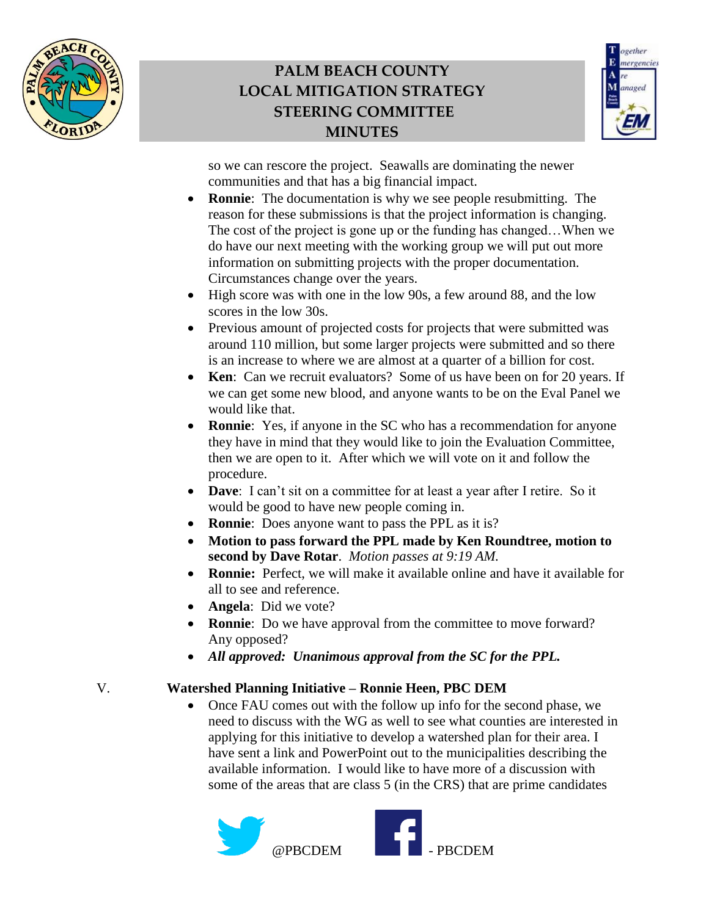



so we can rescore the project. Seawalls are dominating the newer communities and that has a big financial impact.

- **Ronnie**: The documentation is why we see people resubmitting. The reason for these submissions is that the project information is changing. The cost of the project is gone up or the funding has changed…When we do have our next meeting with the working group we will put out more information on submitting projects with the proper documentation. Circumstances change over the years.
- High score was with one in the low 90s, a few around 88, and the low scores in the low 30s.
- Previous amount of projected costs for projects that were submitted was around 110 million, but some larger projects were submitted and so there is an increase to where we are almost at a quarter of a billion for cost.
- **Ken**: Can we recruit evaluators? Some of us have been on for 20 years. If we can get some new blood, and anyone wants to be on the Eval Panel we would like that.
- **Ronnie**: Yes, if anyone in the SC who has a recommendation for anyone they have in mind that they would like to join the Evaluation Committee, then we are open to it. After which we will vote on it and follow the procedure.
- **Dave**: I can't sit on a committee for at least a year after I retire. So it would be good to have new people coming in.
- **Ronnie**: Does anyone want to pass the PPL as it is?
- **Motion to pass forward the PPL made by Ken Roundtree, motion to second by Dave Rotar**. *Motion passes at 9:19 AM.*
- **Ronnie:** Perfect, we will make it available online and have it available for all to see and reference.
- **Angela**: Did we vote?
- **Ronnie**: Do we have approval from the committee to move forward? Any opposed?
- *All approved: Unanimous approval from the SC for the PPL.*

#### V. **Watershed Planning Initiative – Ronnie Heen, PBC DEM**

• Once FAU comes out with the follow up info for the second phase, we need to discuss with the WG as well to see what counties are interested in applying for this initiative to develop a watershed plan for their area. I have sent a link and PowerPoint out to the municipalities describing the available information. I would like to have more of a discussion with some of the areas that are class 5 (in the CRS) that are prime candidates